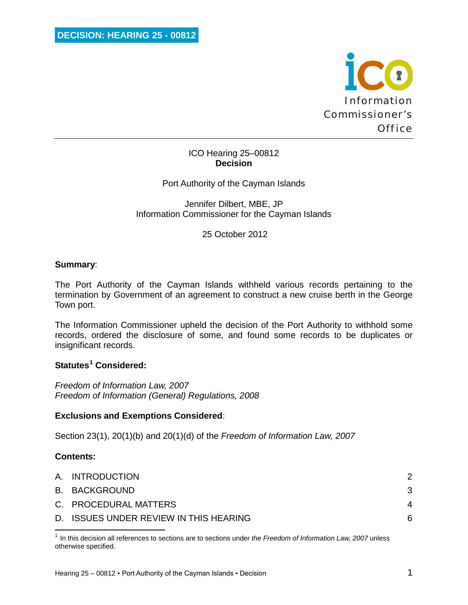

### ICO Hearing 25–00812 **Decision**

Port Authority of the Cayman Islands

Jennifer Dilbert, MBE, JP Information Commissioner for the Cayman Islands

25 October 2012

### **Summary**:

The Port Authority of the Cayman Islands withheld various records pertaining to the termination by Government of an agreement to construct a new cruise berth in the George Town port.

The Information Commissioner upheld the decision of the Port Authority to withhold some records, ordered the disclosure of some, and found some records to be duplicates or insignificant records.

### **Statutes[1](#page-0-0) Considered:**

*Freedom of Information Law, 2007 Freedom of Information (General) Regulations, 2008*

### **Exclusions and Exemptions Considered**:

Section 23(1), 20(1)(b) and 20(1)(d) of the *Freedom of Information Law, 2007*

### **Contents:**

 $\overline{\phantom{0}}$ 

| A. INTRODUCTION                        |   |
|----------------------------------------|---|
| B. BACKGROUND                          |   |
| C. PROCEDURAL MATTERS                  |   |
| D. ISSUES UNDER REVIEW IN THIS HEARING | ନ |

<span id="page-0-0"></span><sup>1</sup> In this decision all references to sections are to sections under *the Freedom of Information Law, 2007* unless otherwise specified.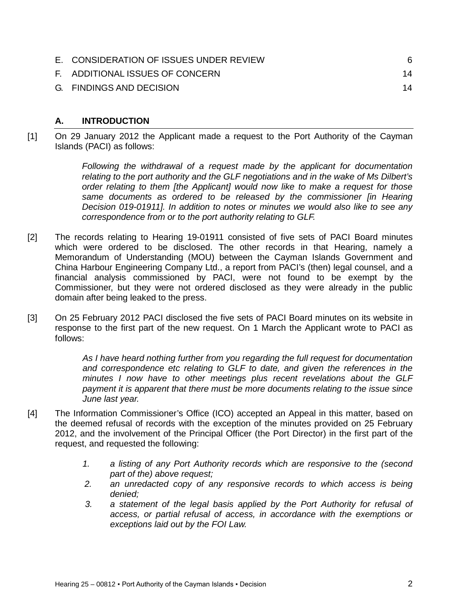| E. CONSIDERATION OF ISSUES UNDER REVIEW | 6  |
|-----------------------------------------|----|
| F. ADDITIONAL ISSUES OF CONCERN         | 14 |
| G. FINDINGS AND DECISION                | 14 |

### <span id="page-1-0"></span>**A. INTRODUCTION**

[1] On 29 January 2012 the Applicant made a request to the Port Authority of the Cayman Islands (PACI) as follows:

> *Following the withdrawal of a request made by the applicant for documentation relating to the port authority and the GLF negotiations and in the wake of Ms Dilbert's order relating to them [the Applicant] would now like to make a request for those same documents as ordered to be released by the commissioner [in Hearing Decision 019-01911]. In addition to notes or minutes we would also like to see any correspondence from or to the port authority relating to GLF.*

- [2] The records relating to Hearing 19-01911 consisted of five sets of PACI Board minutes which were ordered to be disclosed. The other records in that Hearing, namely a Memorandum of Understanding (MOU) between the Cayman Islands Government and China Harbour Engineering Company Ltd., a report from PACI's (then) legal counsel, and a financial analysis commissioned by PACI, were not found to be exempt by the Commissioner, but they were not ordered disclosed as they were already in the public domain after being leaked to the press.
- [3] On 25 February 2012 PACI disclosed the five sets of PACI Board minutes on its website in response to the first part of the new request. On 1 March the Applicant wrote to PACI as follows:

*As I have heard nothing further from you regarding the full request for documentation and correspondence etc relating to GLF to date, and given the references in the minutes I now have to other meetings plus recent revelations about the GLF payment it is apparent that there must be more documents relating to the issue since June last year.*

- [4] The Information Commissioner's Office (ICO) accepted an Appeal in this matter, based on the deemed refusal of records with the exception of the minutes provided on 25 February 2012, and the involvement of the Principal Officer (the Port Director) in the first part of the request, and requested the following:
	- *1. a listing of any Port Authority records which are responsive to the (second part of the) above request;*
	- *2. an unredacted copy of any responsive records to which access is being denied;*
	- *3. a statement of the legal basis applied by the Port Authority for refusal of access, or partial refusal of access, in accordance with the exemptions or exceptions laid out by the FOI Law.*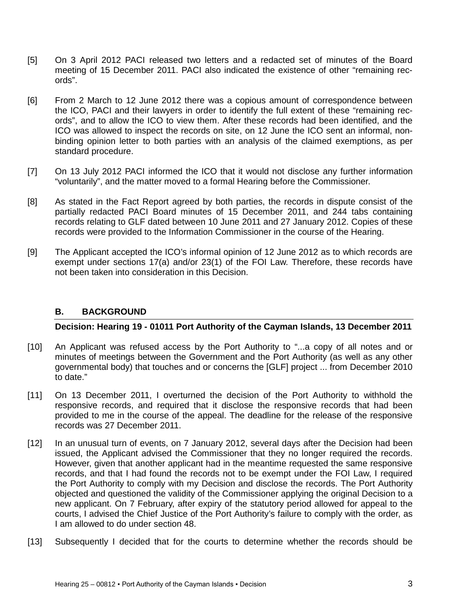- [5] On 3 April 2012 PACI released two letters and a redacted set of minutes of the Board meeting of 15 December 2011. PACI also indicated the existence of other "remaining records".
- [6] From 2 March to 12 June 2012 there was a copious amount of correspondence between the ICO, PACI and their lawyers in order to identify the full extent of these "remaining records", and to allow the ICO to view them. After these records had been identified, and the ICO was allowed to inspect the records on site, on 12 June the ICO sent an informal, nonbinding opinion letter to both parties with an analysis of the claimed exemptions, as per standard procedure.
- [7] On 13 July 2012 PACI informed the ICO that it would not disclose any further information "voluntarily", and the matter moved to a formal Hearing before the Commissioner.
- [8] As stated in the Fact Report agreed by both parties, the records in dispute consist of the partially redacted PACI Board minutes of 15 December 2011, and 244 tabs containing records relating to GLF dated between 10 June 2011 and 27 January 2012. Copies of these records were provided to the Information Commissioner in the course of the Hearing.
- [9] The Applicant accepted the ICO's informal opinion of 12 June 2012 as to which records are exempt under sections 17(a) and/or 23(1) of the FOI Law. Therefore, these records have not been taken into consideration in this Decision.

### <span id="page-2-0"></span>**B. BACKGROUND**

**Decision: Hearing 19 - 01011 Port Authority of the Cayman Islands, 13 December 2011**

- [10] An Applicant was refused access by the Port Authority to "...a copy of all notes and or minutes of meetings between the Government and the Port Authority (as well as any other governmental body) that touches and or concerns the [GLF] project ... from December 2010 to date."
- [11] On 13 December 2011, I overturned the decision of the Port Authority to withhold the responsive records, and required that it disclose the responsive records that had been provided to me in the course of the appeal. The deadline for the release of the responsive records was 27 December 2011.
- [12] In an unusual turn of events, on 7 January 2012, several days after the Decision had been issued, the Applicant advised the Commissioner that they no longer required the records. However, given that another applicant had in the meantime requested the same responsive records, and that I had found the records not to be exempt under the FOI Law, I required the Port Authority to comply with my Decision and disclose the records. The Port Authority objected and questioned the validity of the Commissioner applying the original Decision to a new applicant. On 7 February, after expiry of the statutory period allowed for appeal to the courts, I advised the Chief Justice of the Port Authority's failure to comply with the order, as I am allowed to do under section 48.
- [13] Subsequently I decided that for the courts to determine whether the records should be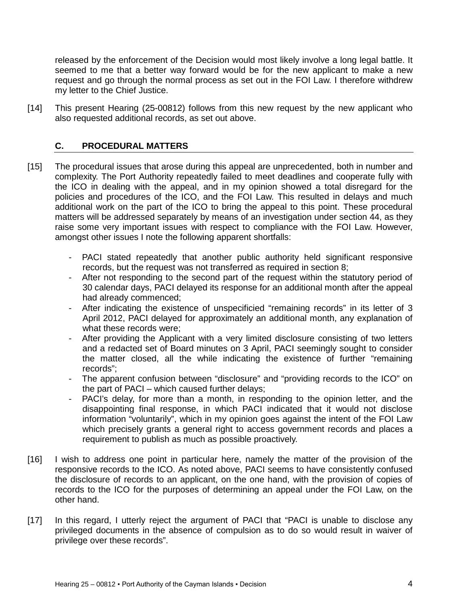released by the enforcement of the Decision would most likely involve a long legal battle. It seemed to me that a better way forward would be for the new applicant to make a new request and go through the normal process as set out in the FOI Law. I therefore withdrew my letter to the Chief Justice.

[14] This present Hearing (25-00812) follows from this new request by the new applicant who also requested additional records, as set out above.

## <span id="page-3-0"></span>**C. PROCEDURAL MATTERS**

- [15] The procedural issues that arose during this appeal are unprecedented, both in number and complexity. The Port Authority repeatedly failed to meet deadlines and cooperate fully with the ICO in dealing with the appeal, and in my opinion showed a total disregard for the policies and procedures of the ICO, and the FOI Law. This resulted in delays and much additional work on the part of the ICO to bring the appeal to this point. These procedural matters will be addressed separately by means of an investigation under section 44, as they raise some very important issues with respect to compliance with the FOI Law. However, amongst other issues I note the following apparent shortfalls:
	- PACI stated repeatedly that another public authority held significant responsive records, but the request was not transferred as required in section 8;
	- After not responding to the second part of the request within the statutory period of 30 calendar days, PACI delayed its response for an additional month after the appeal had already commenced;
	- After indicating the existence of unspecificied "remaining records" in its letter of 3 April 2012, PACI delayed for approximately an additional month, any explanation of what these records were;
	- After providing the Applicant with a very limited disclosure consisting of two letters and a redacted set of Board minutes on 3 April, PACI seemingly sought to consider the matter closed, all the while indicating the existence of further "remaining records";
	- The apparent confusion between "disclosure" and "providing records to the ICO" on the part of PACI – which caused further delays;
	- PACI's delay, for more than a month, in responding to the opinion letter, and the disappointing final response, in which PACI indicated that it would not disclose information "voluntarily", which in my opinion goes against the intent of the FOI Law which precisely grants a general right to access government records and places a requirement to publish as much as possible proactively.
- [16] I wish to address one point in particular here, namely the matter of the provision of the responsive records to the ICO. As noted above, PACI seems to have consistently confused the disclosure of records to an applicant, on the one hand, with the provision of copies of records to the ICO for the purposes of determining an appeal under the FOI Law, on the other hand.
- [17] In this regard, I utterly reject the argument of PACI that "PACI is unable to disclose any privileged documents in the absence of compulsion as to do so would result in waiver of privilege over these records".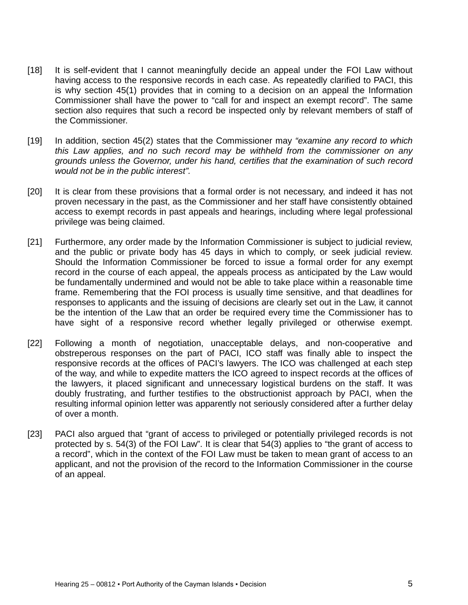- [18] It is self-evident that I cannot meaningfully decide an appeal under the FOI Law without having access to the responsive records in each case. As repeatedly clarified to PACI, this is why section 45(1) provides that in coming to a decision on an appeal the Information Commissioner shall have the power to "call for and inspect an exempt record". The same section also requires that such a record be inspected only by relevant members of staff of the Commissioner.
- [19] In addition, section 45(2) states that the Commissioner may *"examine any record to which this Law applies, and no such record may be withheld from the commissioner on any grounds unless the Governor, under his hand, certifies that the examination of such record would not be in the public interest".*
- [20] It is clear from these provisions that a formal order is not necessary, and indeed it has not proven necessary in the past, as the Commissioner and her staff have consistently obtained access to exempt records in past appeals and hearings, including where legal professional privilege was being claimed.
- [21] Furthermore, any order made by the Information Commissioner is subject to judicial review, and the public or private body has 45 days in which to comply, or seek judicial review. Should the Information Commissioner be forced to issue a formal order for any exempt record in the course of each appeal, the appeals process as anticipated by the Law would be fundamentally undermined and would not be able to take place within a reasonable time frame. Remembering that the FOI process is usually time sensitive, and that deadlines for responses to applicants and the issuing of decisions are clearly set out in the Law, it cannot be the intention of the Law that an order be required every time the Commissioner has to have sight of a responsive record whether legally privileged or otherwise exempt.
- [22] Following a month of negotiation, unacceptable delays, and non-cooperative and obstreperous responses on the part of PACI, ICO staff was finally able to inspect the responsive records at the offices of PACI's lawyers. The ICO was challenged at each step of the way, and while to expedite matters the ICO agreed to inspect records at the offices of the lawyers, it placed significant and unnecessary logistical burdens on the staff. It was doubly frustrating, and further testifies to the obstructionist approach by PACI, when the resulting informal opinion letter was apparently not seriously considered after a further delay of over a month.
- [23] PACI also argued that "grant of access to privileged or potentially privileged records is not protected by s. 54(3) of the FOI Law". It is clear that 54(3) applies to "the grant of access to a record", which in the context of the FOI Law must be taken to mean grant of access to an applicant, and not the provision of the record to the Information Commissioner in the course of an appeal.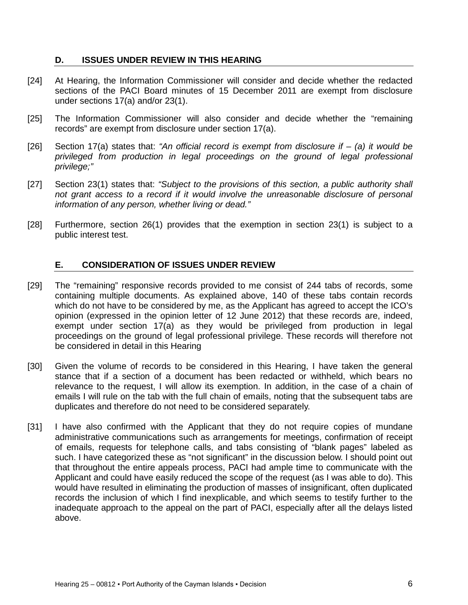#### <span id="page-5-0"></span>**D. ISSUES UNDER REVIEW IN THIS HEARING**

- [24] At Hearing, the Information Commissioner will consider and decide whether the redacted sections of the PACI Board minutes of 15 December 2011 are exempt from disclosure under sections 17(a) and/or 23(1).
- [25] The Information Commissioner will also consider and decide whether the "remaining records" are exempt from disclosure under section 17(a).
- [26] Section 17(a) states that: *"An official record is exempt from disclosure if – (a) it would be privileged from production in legal proceedings on the ground of legal professional privilege;"*
- [27] Section 23(1) states that: *"Subject to the provisions of this section, a public authority shall not grant access to a record if it would involve the unreasonable disclosure of personal information of any person, whether living or dead."*
- [28] Furthermore, section 26(1) provides that the exemption in section 23(1) is subject to a public interest test.

#### <span id="page-5-1"></span>**E. CONSIDERATION OF ISSUES UNDER REVIEW**

- [29] The "remaining" responsive records provided to me consist of 244 tabs of records, some containing multiple documents. As explained above, 140 of these tabs contain records which do not have to be considered by me, as the Applicant has agreed to accept the ICO's opinion (expressed in the opinion letter of 12 June 2012) that these records are, indeed, exempt under section 17(a) as they would be privileged from production in legal proceedings on the ground of legal professional privilege. These records will therefore not be considered in detail in this Hearing
- [30] Given the volume of records to be considered in this Hearing, I have taken the general stance that if a section of a document has been redacted or withheld, which bears no relevance to the request, I will allow its exemption. In addition, in the case of a chain of emails I will rule on the tab with the full chain of emails, noting that the subsequent tabs are duplicates and therefore do not need to be considered separately.
- [31] I have also confirmed with the Applicant that they do not require copies of mundane administrative communications such as arrangements for meetings, confirmation of receipt of emails, requests for telephone calls, and tabs consisting of "blank pages" labeled as such. I have categorized these as "not significant" in the discussion below. I should point out that throughout the entire appeals process, PACI had ample time to communicate with the Applicant and could have easily reduced the scope of the request (as I was able to do). This would have resulted in eliminating the production of masses of insignificant, often duplicated records the inclusion of which I find inexplicable, and which seems to testify further to the inadequate approach to the appeal on the part of PACI, especially after all the delays listed above.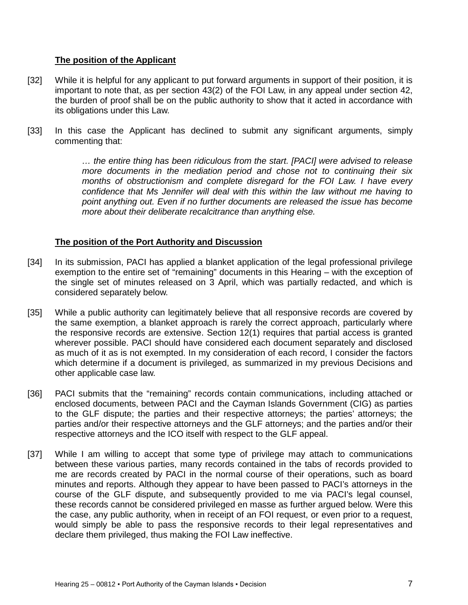#### **The position of the Applicant**

- [32] While it is helpful for any applicant to put forward arguments in support of their position, it is important to note that, as per section 43(2) of the FOI Law, in any appeal under section 42, the burden of proof shall be on the public authority to show that it acted in accordance with its obligations under this Law.
- [33] In this case the Applicant has declined to submit any significant arguments, simply commenting that:

*… the entire thing has been ridiculous from the start. [PACI] were advised to release more documents in the mediation period and chose not to continuing their six months of obstructionism and complete disregard for the FOI Law. I have every confidence that Ms Jennifer will deal with this within the law without me having to point anything out. Even if no further documents are released the issue has become more about their deliberate recalcitrance than anything else.*

### **The position of the Port Authority and Discussion**

- [34] In its submission, PACI has applied a blanket application of the legal professional privilege exemption to the entire set of "remaining" documents in this Hearing – with the exception of the single set of minutes released on 3 April, which was partially redacted, and which is considered separately below.
- [35] While a public authority can legitimately believe that all responsive records are covered by the same exemption, a blanket approach is rarely the correct approach, particularly where the responsive records are extensive. Section 12(1) requires that partial access is granted wherever possible. PACI should have considered each document separately and disclosed as much of it as is not exempted. In my consideration of each record, I consider the factors which determine if a document is privileged, as summarized in my previous Decisions and other applicable case law.
- [36] PACI submits that the "remaining" records contain communications, including attached or enclosed documents, between PACI and the Cayman Islands Government (CIG) as parties to the GLF dispute; the parties and their respective attorneys; the parties' attorneys; the parties and/or their respective attorneys and the GLF attorneys; and the parties and/or their respective attorneys and the ICO itself with respect to the GLF appeal.
- [37] While I am willing to accept that some type of privilege may attach to communications between these various parties, many records contained in the tabs of records provided to me are records created by PACI in the normal course of their operations, such as board minutes and reports. Although they appear to have been passed to PACI's attorneys in the course of the GLF dispute, and subsequently provided to me via PACI's legal counsel, these records cannot be considered privileged en masse as further argued below. Were this the case, any public authority, when in receipt of an FOI request, or even prior to a request, would simply be able to pass the responsive records to their legal representatives and declare them privileged, thus making the FOI Law ineffective.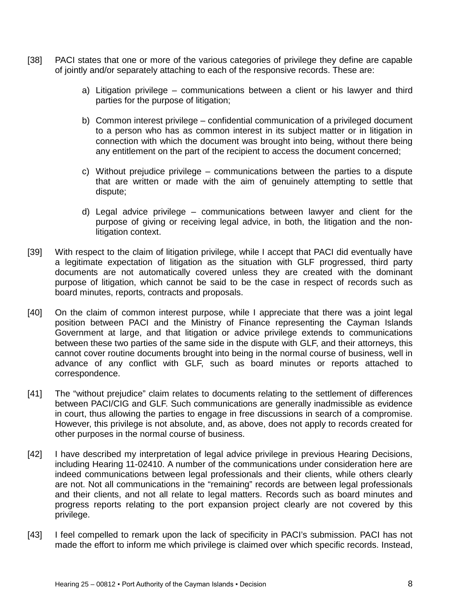- [38] PACI states that one or more of the various categories of privilege they define are capable of jointly and/or separately attaching to each of the responsive records. These are:
	- a) Litigation privilege communications between a client or his lawyer and third parties for the purpose of litigation;
	- b) Common interest privilege confidential communication of a privileged document to a person who has as common interest in its subject matter or in litigation in connection with which the document was brought into being, without there being any entitlement on the part of the recipient to access the document concerned;
	- c) Without prejudice privilege communications between the parties to a dispute that are written or made with the aim of genuinely attempting to settle that dispute;
	- d) Legal advice privilege communications between lawyer and client for the purpose of giving or receiving legal advice, in both, the litigation and the nonlitigation context.
- [39] With respect to the claim of litigation privilege, while I accept that PACI did eventually have a legitimate expectation of litigation as the situation with GLF progressed, third party documents are not automatically covered unless they are created with the dominant purpose of litigation, which cannot be said to be the case in respect of records such as board minutes, reports, contracts and proposals.
- [40] On the claim of common interest purpose, while I appreciate that there was a joint legal position between PACI and the Ministry of Finance representing the Cayman Islands Government at large, and that litigation or advice privilege extends to communications between these two parties of the same side in the dispute with GLF, and their attorneys, this cannot cover routine documents brought into being in the normal course of business, well in advance of any conflict with GLF, such as board minutes or reports attached to correspondence.
- [41] The "without prejudice" claim relates to documents relating to the settlement of differences between PACI/CIG and GLF. Such communications are generally inadmissible as evidence in court, thus allowing the parties to engage in free discussions in search of a compromise. However, this privilege is not absolute, and, as above, does not apply to records created for other purposes in the normal course of business.
- [42] I have described my interpretation of legal advice privilege in previous Hearing Decisions, including Hearing 11-02410. A number of the communications under consideration here are indeed communications between legal professionals and their clients, while others clearly are not. Not all communications in the "remaining" records are between legal professionals and their clients, and not all relate to legal matters. Records such as board minutes and progress reports relating to the port expansion project clearly are not covered by this privilege.
- [43] I feel compelled to remark upon the lack of specificity in PACI's submission. PACI has not made the effort to inform me which privilege is claimed over which specific records. Instead,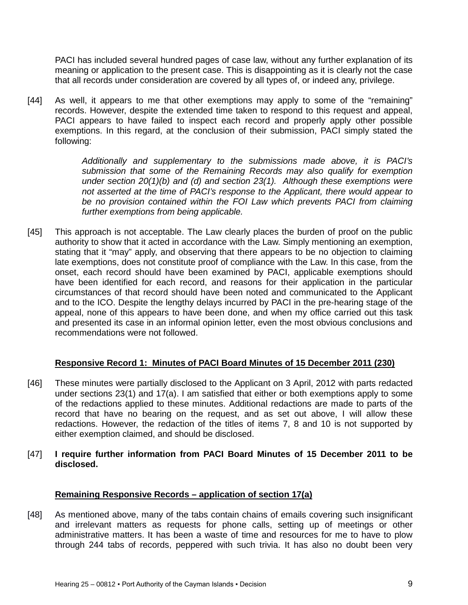PACI has included several hundred pages of case law, without any further explanation of its meaning or application to the present case. This is disappointing as it is clearly not the case that all records under consideration are covered by all types of, or indeed any, privilege.

[44] As well, it appears to me that other exemptions may apply to some of the "remaining" records. However, despite the extended time taken to respond to this request and appeal, PACI appears to have failed to inspect each record and properly apply other possible exemptions. In this regard, at the conclusion of their submission, PACI simply stated the following:

> *Additionally and supplementary to the submissions made above, it is PACI's submission that some of the Remaining Records may also qualify for exemption under section 20(1)(b) and (d) and section 23(1). Although these exemptions were not asserted at the time of PACI's response to the Applicant, there would appear to be no provision contained within the FOI Law which prevents PACI from claiming further exemptions from being applicable.*

[45] This approach is not acceptable. The Law clearly places the burden of proof on the public authority to show that it acted in accordance with the Law. Simply mentioning an exemption, stating that it "may" apply, and observing that there appears to be no objection to claiming late exemptions, does not constitute proof of compliance with the Law. In this case, from the onset, each record should have been examined by PACI, applicable exemptions should have been identified for each record, and reasons for their application in the particular circumstances of that record should have been noted and communicated to the Applicant and to the ICO. Despite the lengthy delays incurred by PACI in the pre-hearing stage of the appeal, none of this appears to have been done, and when my office carried out this task and presented its case in an informal opinion letter, even the most obvious conclusions and recommendations were not followed.

#### **Responsive Record 1: Minutes of PACI Board Minutes of 15 December 2011 (230)**

- [46] These minutes were partially disclosed to the Applicant on 3 April, 2012 with parts redacted under sections 23(1) and 17(a). I am satisfied that either or both exemptions apply to some of the redactions applied to these minutes. Additional redactions are made to parts of the record that have no bearing on the request, and as set out above, I will allow these redactions. However, the redaction of the titles of items 7, 8 and 10 is not supported by either exemption claimed, and should be disclosed.
- [47] **I require further information from PACI Board Minutes of 15 December 2011 to be disclosed.**

#### **Remaining Responsive Records – application of section 17(a)**

[48] As mentioned above, many of the tabs contain chains of emails covering such insignificant and irrelevant matters as requests for phone calls, setting up of meetings or other administrative matters. It has been a waste of time and resources for me to have to plow through 244 tabs of records, peppered with such trivia. It has also no doubt been very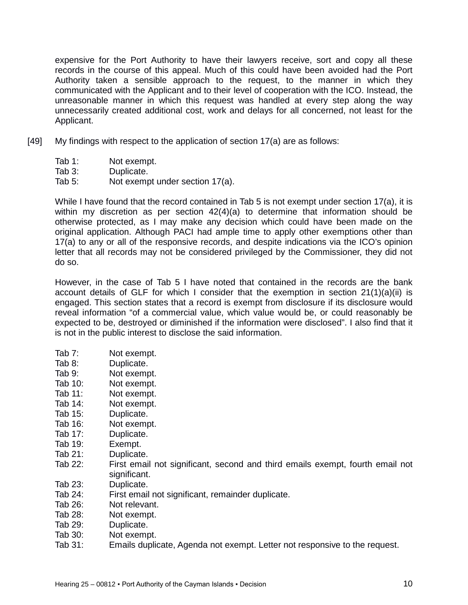expensive for the Port Authority to have their lawyers receive, sort and copy all these records in the course of this appeal. Much of this could have been avoided had the Port Authority taken a sensible approach to the request, to the manner in which they communicated with the Applicant and to their level of cooperation with the ICO. Instead, the unreasonable manner in which this request was handled at every step along the way unnecessarily created additional cost, work and delays for all concerned, not least for the Applicant.

- [49] My findings with respect to the application of section 17(a) are as follows:
	- Tab 1: Not exempt.
	- Tab 3: Duplicate.
	- Tab 5: Not exempt under section 17(a).

While I have found that the record contained in Tab 5 is not exempt under section 17(a), it is within my discretion as per section 42(4)(a) to determine that information should be otherwise protected, as I may make any decision which could have been made on the original application. Although PACI had ample time to apply other exemptions other than 17(a) to any or all of the responsive records, and despite indications via the ICO's opinion letter that all records may not be considered privileged by the Commissioner, they did not do so.

However, in the case of Tab 5 I have noted that contained in the records are the bank account details of GLF for which I consider that the exemption in section  $21(1)(a)(ii)$  is engaged. This section states that a record is exempt from disclosure if its disclosure would reveal information "of a commercial value, which value would be, or could reasonably be expected to be, destroyed or diminished if the information were disclosed". I also find that it is not in the public interest to disclose the said information.

- Tab 7: Not exempt.
- Tab 8: Duplicate.
- Tab 9: Not exempt.
- Tab 10: Not exempt.
- Tab 11: Not exempt.
- Tab 14: Not exempt.
- Tab 15: Duplicate.
- Tab 16: Not exempt.
- Tab 17: Duplicate.
- Tab 19: Exempt.
- Tab 21: Duplicate.
- Tab 22: First email not significant, second and third emails exempt, fourth email not significant.
- Tab 23: Duplicate.
- Tab 24: First email not significant, remainder duplicate.
- Tab 26: Not relevant.
- Tab 28: Not exempt.
- Tab 29: Duplicate.
- Tab 30: Not exempt.
- Tab 31: Emails duplicate, Agenda not exempt. Letter not responsive to the request.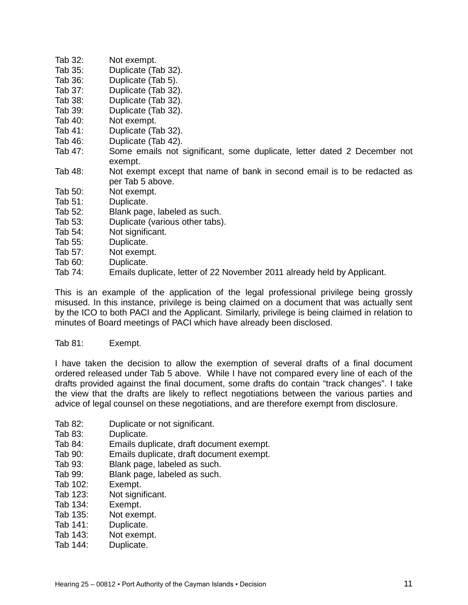- Tab 32: Not exempt.
- Tab 35: Duplicate (Tab 32).<br>Tab 36: Duplicate (Tab 5).
- Duplicate (Tab 5).
- Tab 37: Duplicate (Tab 32).
- Tab 38: Duplicate (Tab 32).
- Tab 39: Duplicate (Tab 32).
- Tab 40: Not exempt.<br>Tab 41: Duplicate (Ta
- Duplicate (Tab 32).
- Tab 46: Duplicate (Tab 42).<br>Tab 47: Some emails not s
- Some emails not significant, some duplicate, letter dated 2 December not exempt.
- Tab 48: Not exempt except that name of bank in second email is to be redacted as per Tab 5 above.
- Tab 50: Not exempt.<br>Tab 51: Duplicate.
- Duplicate.
- Tab 52: Blank page, labeled as such.
- Tab 53: Duplicate (various other tabs).
- Tab 54: Not significant.
- Tab 55: Duplicate.
- Tab 57: Not exempt.
- Tab 60: Duplicate.
- Tab 74: Emails duplicate, letter of 22 November 2011 already held by Applicant.

This is an example of the application of the legal professional privilege being grossly misused. In this instance, privilege is being claimed on a document that was actually sent by the ICO to both PACI and the Applicant. Similarly, privilege is being claimed in relation to minutes of Board meetings of PACI which have already been disclosed.

### Tab 81: Exempt.

I have taken the decision to allow the exemption of several drafts of a final document ordered released under Tab 5 above. While I have not compared every line of each of the drafts provided against the final document, some drafts do contain "track changes". I take the view that the drafts are likely to reflect negotiations between the various parties and advice of legal counsel on these negotiations, and are therefore exempt from disclosure.

- Tab 82: Duplicate or not significant.
- Tab 83: Duplicate.
- Tab 84: Emails duplicate, draft document exempt.
- Tab 90: Emails duplicate, draft document exempt.
- Tab 93: Blank page, labeled as such.
- Tab 99: Blank page, labeled as such.
- Tab 102: Exempt.
- Tab 123: Not significant.
- Tab 134: Exempt.
- Tab 135: Not exempt.
- Tab 141: Duplicate.
- Tab 143: Not exempt.
- Tab 144: Duplicate.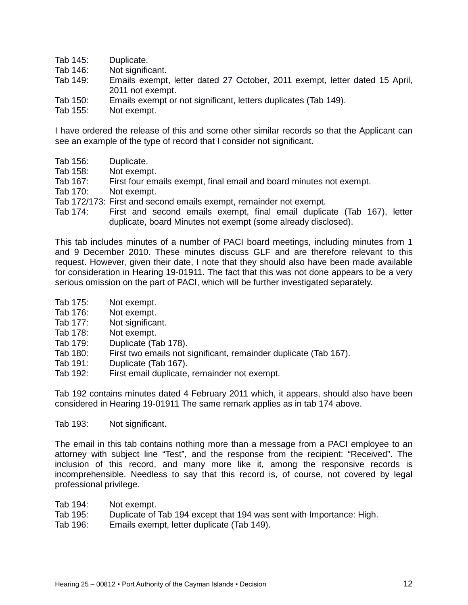- Tab 145: Duplicate.
- Tab 146: Not significant.<br>Tab 149: Emails exempt
- Emails exempt, letter dated 27 October, 2011 exempt, letter dated 15 April, 2011 not exempt.
- Tab 150: Emails exempt or not significant, letters duplicates (Tab 149).<br>Tab 155: Not exempt.
- Not exempt.

I have ordered the release of this and some other similar records so that the Applicant can see an example of the type of record that I consider not significant.

- Tab 156: Duplicate.
- Tab 158: Not exempt.
- Tab 167: First four emails exempt, final email and board minutes not exempt.
- Tab 170: Not exempt.
- Tab 172/173: First and second emails exempt, remainder not exempt.
- Tab 174: First and second emails exempt, final email duplicate (Tab 167), letter duplicate, board Minutes not exempt (some already disclosed).

This tab includes minutes of a number of PACI board meetings, including minutes from 1 and 9 December 2010. These minutes discuss GLF and are therefore relevant to this request. However, given their date, I note that they should also have been made available for consideration in Hearing 19-01911. The fact that this was not done appears to be a very serious omission on the part of PACI, which will be further investigated separately.

- Tab 175: Not exempt.
- Tab 176: Not exempt.
- Tab 177: Not significant.
- Tab 178: Not exempt.
- Tab 179: Duplicate (Tab 178).
- Tab 180: First two emails not significant, remainder duplicate (Tab 167).
- Tab 191: Duplicate (Tab 167).
- Tab 192: First email duplicate, remainder not exempt.

Tab 192 contains minutes dated 4 February 2011 which, it appears, should also have been considered in Hearing 19-01911 The same remark applies as in tab 174 above.

Tab 193: Not significant.

The email in this tab contains nothing more than a message from a PACI employee to an attorney with subject line "Test", and the response from the recipient: "Received". The inclusion of this record, and many more like it, among the responsive records is incomprehensible. Needless to say that this record is, of course, not covered by legal professional privilege.

- Tab 194: Not exempt.
- Tab 195: Duplicate of Tab 194 except that 194 was sent with Importance: High.
- Tab 196: Emails exempt, letter duplicate (Tab 149).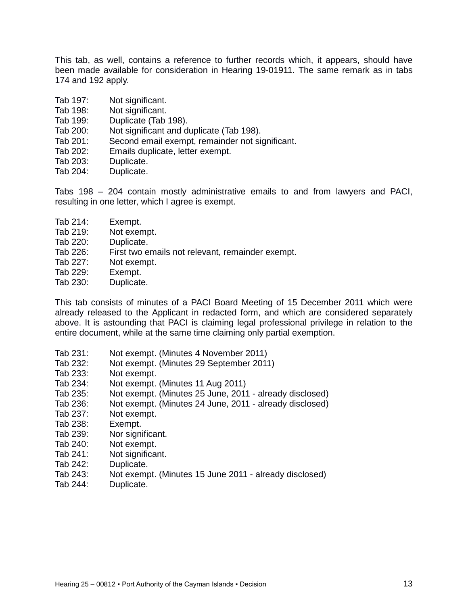This tab, as well, contains a reference to further records which, it appears, should have been made available for consideration in Hearing 19-01911. The same remark as in tabs 174 and 192 apply.

- Tab 197: Not significant.
- Tab 198: Not significant.<br>Tab 199: Duplicate (Tab
- Duplicate (Tab 198).
- Tab 200: Not significant and duplicate (Tab 198).
- Tab 201: Second email exempt, remainder not significant.
- Tab 202: Emails duplicate, letter exempt.
- Tab 203: Duplicate.
- Tab 204: Duplicate.

Tabs 198 – 204 contain mostly administrative emails to and from lawyers and PACI, resulting in one letter, which I agree is exempt.

- Tab 214: Exempt.
- Tab 219: Not exempt.
- Tab 220: Duplicate.
- Tab 226: First two emails not relevant, remainder exempt.
- Tab 227: Not exempt.
- Tab 229: Exempt.
- Tab 230: Duplicate.

This tab consists of minutes of a PACI Board Meeting of 15 December 2011 which were already released to the Applicant in redacted form, and which are considered separately above. It is astounding that PACI is claiming legal professional privilege in relation to the entire document, while at the same time claiming only partial exemption.

- Tab 231: Not exempt. (Minutes 4 November 2011)
- Tab 232: Not exempt. (Minutes 29 September 2011)
- Tab 233: Not exempt.
- Tab 234: Not exempt. (Minutes 11 Aug 2011)
- Tab 235: Not exempt. (Minutes 25 June, 2011 already disclosed)
- Tab 236: Not exempt. (Minutes 24 June, 2011 already disclosed)
- Tab 237: Not exempt.
- Tab 238: Exempt.
- Tab 239: Nor significant.
- Tab 240: Not exempt.
- Tab 241: Not significant.
- Tab 242: Duplicate.
- Tab 243: Not exempt. (Minutes 15 June 2011 already disclosed)
- Tab 244: Duplicate.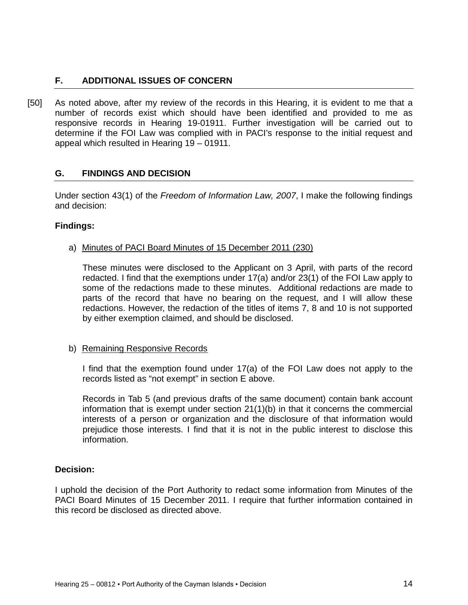# <span id="page-13-0"></span>**F. ADDITIONAL ISSUES OF CONCERN**

[50] As noted above, after my review of the records in this Hearing, it is evident to me that a number of records exist which should have been identified and provided to me as responsive records in Hearing 19-01911. Further investigation will be carried out to determine if the FOI Law was complied with in PACI's response to the initial request and appeal which resulted in Hearing 19 – 01911.

### <span id="page-13-1"></span>**G. FINDINGS AND DECISION**

Under section 43(1) of the *Freedom of Information Law, 2007*, I make the following findings and decision:

#### **Findings:**

a) Minutes of PACI Board Minutes of 15 December 2011 (230)

These minutes were disclosed to the Applicant on 3 April, with parts of the record redacted. I find that the exemptions under 17(a) and/or 23(1) of the FOI Law apply to some of the redactions made to these minutes. Additional redactions are made to parts of the record that have no bearing on the request, and I will allow these redactions. However, the redaction of the titles of items 7, 8 and 10 is not supported by either exemption claimed, and should be disclosed.

#### b) Remaining Responsive Records

I find that the exemption found under 17(a) of the FOI Law does not apply to the records listed as "not exempt" in section E above.

Records in Tab 5 (and previous drafts of the same document) contain bank account information that is exempt under section 21(1)(b) in that it concerns the commercial interests of a person or organization and the disclosure of that information would prejudice those interests. I find that it is not in the public interest to disclose this information.

#### **Decision:**

I uphold the decision of the Port Authority to redact some information from Minutes of the PACI Board Minutes of 15 December 2011. I require that further information contained in this record be disclosed as directed above.